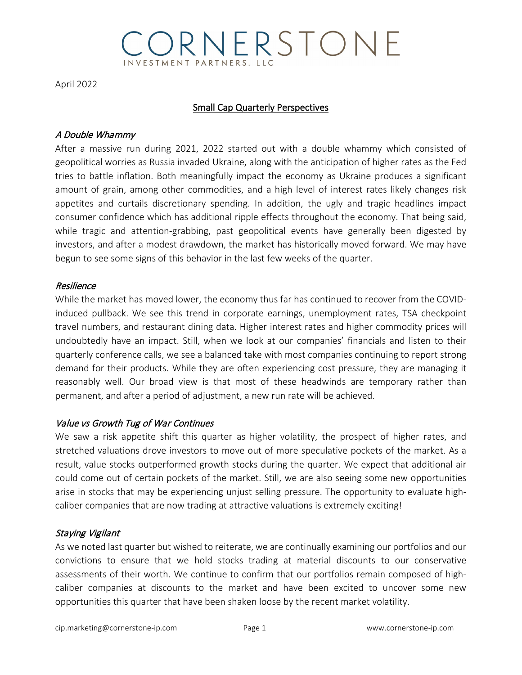## ORNERSTONE **VVESTMENT PARTNERS, LL**

April 2022

#### Small Cap Quarterly Perspectives

#### A Double Whammy

After a massive run during 2021, 2022 started out with a double whammy which consisted of geopolitical worries as Russia invaded Ukraine, along with the anticipation of higher rates as the Fed tries to battle inflation. Both meaningfully impact the economy as Ukraine produces a significant amount of grain, among other commodities, and a high level of interest rates likely changes risk appetites and curtails discretionary spending. In addition, the ugly and tragic headlines impact consumer confidence which has additional ripple effects throughout the economy. That being said, while tragic and attention-grabbing, past geopolitical events have generally been digested by investors, and after a modest drawdown, the market has historically moved forward. We may have begun to see some signs of this behavior in the last few weeks of the quarter.

#### Resilience

While the market has moved lower, the economy thus far has continued to recover from the COVIDinduced pullback. We see this trend in corporate earnings, unemployment rates, TSA checkpoint travel numbers, and restaurant dining data. Higher interest rates and higher commodity prices will undoubtedly have an impact. Still, when we look at our companies' financials and listen to their quarterly conference calls, we see a balanced take with most companies continuing to report strong demand for their products. While they are often experiencing cost pressure, they are managing it reasonably well. Our broad view is that most of these headwinds are temporary rather than permanent, and after a period of adjustment, a new run rate will be achieved.

## Value vs Growth Tug of War Continues

We saw a risk appetite shift this quarter as higher volatility, the prospect of higher rates, and stretched valuations drove investors to move out of more speculative pockets of the market. As a result, value stocks outperformed growth stocks during the quarter. We expect that additional air could come out of certain pockets of the market. Still, we are also seeing some new opportunities arise in stocks that may be experiencing unjust selling pressure. The opportunity to evaluate highcaliber companies that are now trading at attractive valuations is extremely exciting!

## Staying Vigilant

As we noted last quarter but wished to reiterate, we are continually examining our portfolios and our convictions to ensure that we hold stocks trading at material discounts to our conservative assessments of their worth. We continue to confirm that our portfolios remain composed of highcaliber companies at discounts to the market and have been excited to uncover some new opportunities this quarter that have been shaken loose by the recent market volatility.